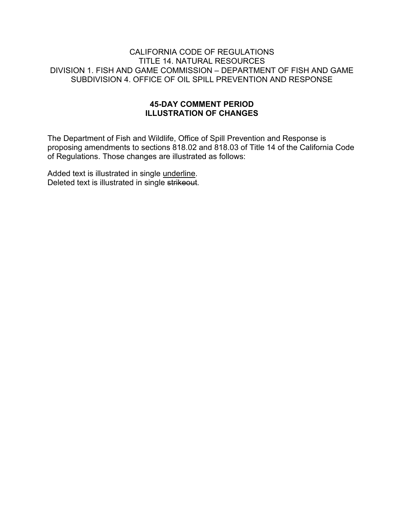#### CALIFORNIA CODE OF REGULATIONS TITLE 14. NATURAL RESOURCES DIVISION 1. FISH AND GAME COMMISSION – DEPARTMENT OF FISH AND GAME SUBDIVISION 4. OFFICE OF OIL SPILL PREVENTION AND RESPONSE

#### **45-DAY COMMENT PERIOD ILLUSTRATION OF CHANGES**

The Department of Fish and Wildlife, Office of Spill Prevention and Response is proposing amendments to sections 818.02 and 818.03 of Title 14 of the California Code of Regulations. Those changes are illustrated as follows:

Added text is illustrated in single underline. Deleted text is illustrated in single strikeout.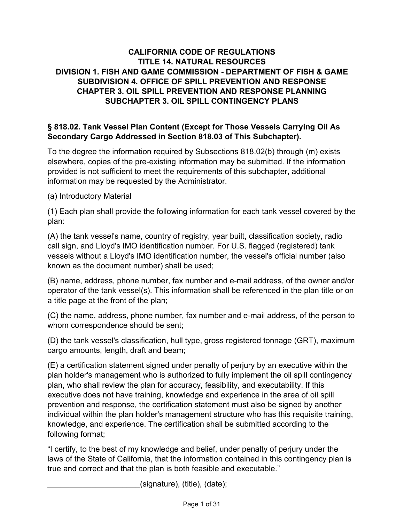# **CALIFORNIA CODE OF REGULATIONS TITLE 14. NATURAL RESOURCES DIVISION 1. FISH AND GAME COMMISSION - DEPARTMENT OF FISH & GAME SUBDIVISION 4. OFFICE OF SPILL PREVENTION AND RESPONSE CHAPTER 3. OIL SPILL PREVENTION AND RESPONSE PLANNING SUBCHAPTER 3. OIL SPILL CONTINGENCY PLANS**

## **§ 818.02. Tank Vessel Plan Content (Except for Those Vessels Carrying Oil As Secondary Cargo Addressed in Section 818.03 of This Subchapter).**

To the degree the information required by Subsections 818.02(b) through (m) exists elsewhere, copies of the pre-existing information may be submitted. If the information provided is not sufficient to meet the requirements of this subchapter, additional information may be requested by the Administrator.

(a) Introductory Material

(1) Each plan shall provide the following information for each tank vessel covered by the plan:

(A) the tank vessel's name, country of registry, year built, classification society, radio call sign, and Lloyd's IMO identification number. For U.S. flagged (registered) tank vessels without a Lloyd's IMO identification number, the vessel's official number (also known as the document number) shall be used;

(B) name, address, phone number, fax number and e-mail address, of the owner and/or operator of the tank vessel(s). This information shall be referenced in the plan title or on a title page at the front of the plan;

(C) the name, address, phone number, fax number and e-mail address, of the person to whom correspondence should be sent;

(D) the tank vessel's classification, hull type, gross registered tonnage (GRT), maximum cargo amounts, length, draft and beam;

(E) a certification statement signed under penalty of perjury by an executive within the plan holder's management who is authorized to fully implement the oil spill contingency plan, who shall review the plan for accuracy, feasibility, and executability. If this executive does not have training, knowledge and experience in the area of oil spill prevention and response, the certification statement must also be signed by another individual within the plan holder's management structure who has this requisite training, knowledge, and experience. The certification shall be submitted according to the following format;

"I certify, to the best of my knowledge and belief, under penalty of perjury under the laws of the State of California, that the information contained in this contingency plan is true and correct and that the plan is both feasible and executable."

 $(signature)$ ,  $(title)$ ,  $(date)$ ;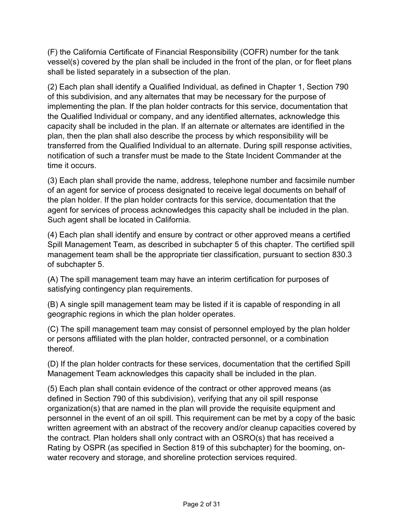(F) the California Certificate of Financial Responsibility (COFR) number for the tank vessel(s) covered by the plan shall be included in the front of the plan, or for fleet plans shall be listed separately in a subsection of the plan.

(2) Each plan shall identify a Qualified Individual, as defined in Chapter 1, Section 790 of this subdivision, and any alternates that may be necessary for the purpose of implementing the plan. If the plan holder contracts for this service, documentation that the Qualified Individual or company, and any identified alternates, acknowledge this capacity shall be included in the plan. If an alternate or alternates are identified in the plan, then the plan shall also describe the process by which responsibility will be transferred from the Qualified Individual to an alternate. During spill response activities, notification of such a transfer must be made to the State Incident Commander at the time it occurs.

(3) Each plan shall provide the name, address, telephone number and facsimile number of an agent for service of process designated to receive legal documents on behalf of the plan holder. If the plan holder contracts for this service, documentation that the agent for services of process acknowledges this capacity shall be included in the plan. Such agent shall be located in California.

(4) Each plan shall identify and ensure by contract or other approved means a certified Spill Management Team, as described in subchapter 5 of this chapter. The certified spill management team shall be the appropriate tier classification, pursuant to section 830.3 of subchapter 5.

(A) The spill management team may have an interim certification for purposes of satisfying contingency plan requirements.

(B) A single spill management team may be listed if it is capable of responding in all geographic regions in which the plan holder operates.

(C) The spill management team may consist of personnel employed by the plan holder or persons affiliated with the plan holder, contracted personnel, or a combination thereof.

(D) If the plan holder contracts for these services, documentation that the certified Spill Management Team acknowledges this capacity shall be included in the plan.

(5) Each plan shall contain evidence of the contract or other approved means (as defined in Section 790 of this subdivision), verifying that any oil spill response organization(s) that are named in the plan will provide the requisite equipment and personnel in the event of an oil spill. This requirement can be met by a copy of the basic written agreement with an abstract of the recovery and/or cleanup capacities covered by the contract. Plan holders shall only contract with an OSRO(s) that has received a Rating by OSPR (as specified in Section 819 of this subchapter) for the booming, onwater recovery and storage, and shoreline protection services required.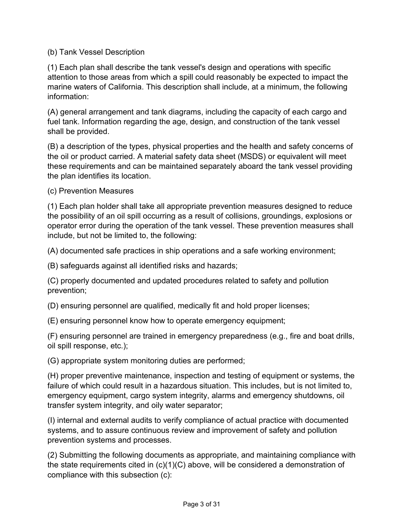### (b) Tank Vessel Description

(1) Each plan shall describe the tank vessel's design and operations with specific attention to those areas from which a spill could reasonably be expected to impact the marine waters of California. This description shall include, at a minimum, the following information:

(A) general arrangement and tank diagrams, including the capacity of each cargo and fuel tank. Information regarding the age, design, and construction of the tank vessel shall be provided.

(B) a description of the types, physical properties and the health and safety concerns of the oil or product carried. A material safety data sheet (MSDS) or equivalent will meet these requirements and can be maintained separately aboard the tank vessel providing the plan identifies its location.

(c) Prevention Measures

(1) Each plan holder shall take all appropriate prevention measures designed to reduce the possibility of an oil spill occurring as a result of collisions, groundings, explosions or operator error during the operation of the tank vessel. These prevention measures shall include, but not be limited to, the following:

(A) documented safe practices in ship operations and a safe working environment;

(B) safeguards against all identified risks and hazards;

(C) properly documented and updated procedures related to safety and pollution prevention;

(D) ensuring personnel are qualified, medically fit and hold proper licenses;

(E) ensuring personnel know how to operate emergency equipment;

(F) ensuring personnel are trained in emergency preparedness (e.g., fire and boat drills, oil spill response, etc.);

(G) appropriate system monitoring duties are performed;

(H) proper preventive maintenance, inspection and testing of equipment or systems, the failure of which could result in a hazardous situation. This includes, but is not limited to, emergency equipment, cargo system integrity, alarms and emergency shutdowns, oil transfer system integrity, and oily water separator;

(I) internal and external audits to verify compliance of actual practice with documented systems, and to assure continuous review and improvement of safety and pollution prevention systems and processes.

(2) Submitting the following documents as appropriate, and maintaining compliance with the state requirements cited in (c)(1)(C) above, will be considered a demonstration of compliance with this subsection (c):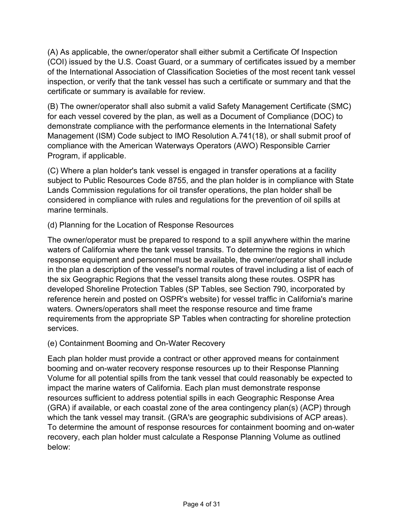(A) As applicable, the owner/operator shall either submit a Certificate Of Inspection (COI) issued by the U.S. Coast Guard, or a summary of certificates issued by a member of the International Association of Classification Societies of the most recent tank vessel inspection, or verify that the tank vessel has such a certificate or summary and that the certificate or summary is available for review.

(B) The owner/operator shall also submit a valid Safety Management Certificate (SMC) for each vessel covered by the plan, as well as a Document of Compliance (DOC) to demonstrate compliance with the performance elements in the International Safety Management (ISM) Code subject to IMO Resolution A.741(18), or shall submit proof of compliance with the American Waterways Operators (AWO) Responsible Carrier Program, if applicable.

(C) Where a plan holder's tank vessel is engaged in transfer operations at a facility subject to Public Resources Code 8755, and the plan holder is in compliance with State Lands Commission regulations for oil transfer operations, the plan holder shall be considered in compliance with rules and regulations for the prevention of oil spills at marine terminals.

### (d) Planning for the Location of Response Resources

The owner/operator must be prepared to respond to a spill anywhere within the marine waters of California where the tank vessel transits. To determine the regions in which response equipment and personnel must be available, the owner/operator shall include in the plan a description of the vessel's normal routes of travel including a list of each of the six Geographic Regions that the vessel transits along these routes. OSPR has developed Shoreline Protection Tables (SP Tables, see Section 790, incorporated by reference herein and posted on OSPR's website) for vessel traffic in California's marine waters. Owners/operators shall meet the response resource and time frame requirements from the appropriate SP Tables when contracting for shoreline protection services.

### (e) Containment Booming and On-Water Recovery

Each plan holder must provide a contract or other approved means for containment booming and on-water recovery response resources up to their Response Planning Volume for all potential spills from the tank vessel that could reasonably be expected to impact the marine waters of California. Each plan must demonstrate response resources sufficient to address potential spills in each Geographic Response Area (GRA) if available, or each coastal zone of the area contingency plan(s) (ACP) through which the tank vessel may transit. (GRA's are geographic subdivisions of ACP areas). To determine the amount of response resources for containment booming and on-water recovery, each plan holder must calculate a Response Planning Volume as outlined below: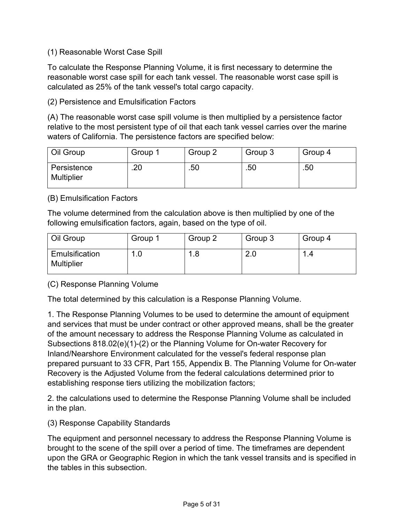### (1) Reasonable Worst Case Spill

To calculate the Response Planning Volume, it is first necessary to determine the reasonable worst case spill for each tank vessel. The reasonable worst case spill is calculated as 25% of the tank vessel's total cargo capacity.

(2) Persistence and Emulsification Factors

(A) The reasonable worst case spill volume is then multiplied by a persistence factor relative to the most persistent type of oil that each tank vessel carries over the marine waters of California. The persistence factors are specified below:

| Oil Group                        | Group 1 | Group 2 | Group 3 | Group 4 |
|----------------------------------|---------|---------|---------|---------|
| Persistence<br><b>Multiplier</b> | .20     | .50     | .50     | .50     |

(B) Emulsification Factors

The volume determined from the calculation above is then multiplied by one of the following emulsification factors, again, based on the type of oil.

| Oil Group                           | Group 1 | Group 2 | Group 3 | Group 4 |
|-------------------------------------|---------|---------|---------|---------|
| Emulsification<br><b>Multiplier</b> | ◢       | .8<br>4 | 2.0     | I .4    |

(C) Response Planning Volume

The total determined by this calculation is a Response Planning Volume.

1. The Response Planning Volumes to be used to determine the amount of equipment and services that must be under contract or other approved means, shall be the greater of the amount necessary to address the Response Planning Volume as calculated in Subsections 818.02(e)(1)-(2) or the Planning Volume for On-water Recovery for Inland/Nearshore Environment calculated for the vessel's federal response plan prepared pursuant to 33 CFR, Part 155, Appendix B. The Planning Volume for On-water Recovery is the Adjusted Volume from the federal calculations determined prior to establishing response tiers utilizing the mobilization factors;

2. the calculations used to determine the Response Planning Volume shall be included in the plan.

(3) Response Capability Standards

The equipment and personnel necessary to address the Response Planning Volume is brought to the scene of the spill over a period of time. The timeframes are dependent upon the GRA or Geographic Region in which the tank vessel transits and is specified in the tables in this subsection.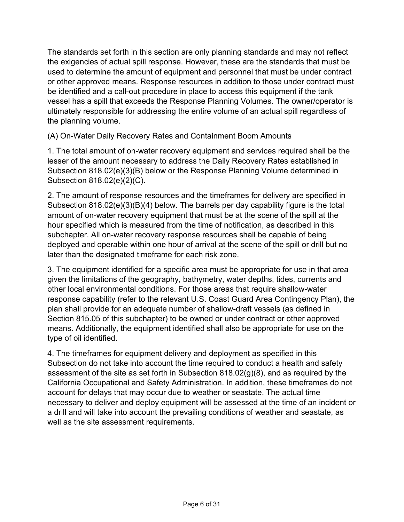The standards set forth in this section are only planning standards and may not reflect the exigencies of actual spill response. However, these are the standards that must be used to determine the amount of equipment and personnel that must be under contract or other approved means. Response resources in addition to those under contract must be identified and a call-out procedure in place to access this equipment if the tank vessel has a spill that exceeds the Response Planning Volumes. The owner/operator is ultimately responsible for addressing the entire volume of an actual spill regardless of the planning volume.

(A) On-Water Daily Recovery Rates and Containment Boom Amounts

1. The total amount of on-water recovery equipment and services required shall be the lesser of the amount necessary to address the Daily Recovery Rates established in Subsection 818.02(e)(3)(B) below or the Response Planning Volume determined in Subsection 818.02(e)(2)(C).

2. The amount of response resources and the timeframes for delivery are specified in Subsection 818.02(e)(3)(B)(4) below. The barrels per day capability figure is the total amount of on-water recovery equipment that must be at the scene of the spill at the hour specified which is measured from the time of notification, as described in this subchapter. All on-water recovery response resources shall be capable of being deployed and operable within one hour of arrival at the scene of the spill or drill but no later than the designated timeframe for each risk zone.

3. The equipment identified for a specific area must be appropriate for use in that area given the limitations of the geography, bathymetry, water depths, tides, currents and other local environmental conditions. For those areas that require shallow-water response capability (refer to the relevant U.S. Coast Guard Area Contingency Plan), the plan shall provide for an adequate number of shallow-draft vessels (as defined in Section 815.05 of this subchapter) to be owned or under contract or other approved means. Additionally, the equipment identified shall also be appropriate for use on the type of oil identified.

4. The timeframes for equipment delivery and deployment as specified in this Subsection do not take into account the time required to conduct a health and safety assessment of the site as set forth in Subsection 818.02(g)(8), and as required by the California Occupational and Safety Administration. In addition, these timeframes do not account for delays that may occur due to weather or seastate. The actual time necessary to deliver and deploy equipment will be assessed at the time of an incident or a drill and will take into account the prevailing conditions of weather and seastate, as well as the site assessment requirements.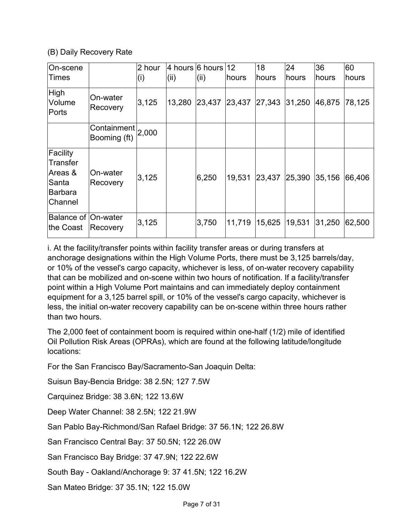### (B) Daily Recovery Rate

| On-scene<br>Times                                                            |                             | 2 hour<br>(i) | (ii)   | 4 hours 6 hours $12$<br>(ii) | hours  | 18<br>hours | 24<br>hours | 36<br>hours | 60<br>hours |
|------------------------------------------------------------------------------|-----------------------------|---------------|--------|------------------------------|--------|-------------|-------------|-------------|-------------|
| High<br>Volume<br>Ports                                                      | On-water<br>Recovery        | 3,125         | 13,280 | 23,437                       | 23,437 | 27,343      | 31,250      | 46,875      | 78,125      |
|                                                                              | Containment<br>Booming (ft) | 2,000         |        |                              |        |             |             |             |             |
| Facility<br><b>Transfer</b><br>Areas &<br>Santa<br><b>Barbara</b><br>Channel | On-water<br>Recovery        | 3,125         |        | 6,250                        | 19,531 | 23,437      | 25,390      | 35,156      | 66,406      |
| Balance of On-water<br>the Coast                                             | Recovery                    | 3,125         |        | 3,750                        | 11,719 | 15,625      | 19,531      | 31,250      | 62,500      |

i. At the facility/transfer points within facility transfer areas or during transfers at anchorage designations within the High Volume Ports, there must be 3,125 barrels/day, or 10% of the vessel's cargo capacity, whichever is less, of on-water recovery capability that can be mobilized and on-scene within two hours of notification. If a facility/transfer point within a High Volume Port maintains and can immediately deploy containment equipment for a 3,125 barrel spill, or 10% of the vessel's cargo capacity, whichever is less, the initial on-water recovery capability can be on-scene within three hours rather than two hours.

The 2,000 feet of containment boom is required within one-half (1/2) mile of identified Oil Pollution Risk Areas (OPRAs), which are found at the following latitude/longitude locations:

For the San Francisco Bay/Sacramento-San Joaquin Delta:

Suisun Bay-Bencia Bridge: 38 2.5N; 127 7.5W

Carquinez Bridge: 38 3.6N; 122 13.6W

Deep Water Channel: 38 2.5N; 122 21.9W

San Pablo Bay-Richmond/San Rafael Bridge: 37 56.1N; 122 26.8W

San Francisco Central Bay: 37 50.5N; 122 26.0W

San Francisco Bay Bridge: 37 47.9N; 122 22.6W

South Bay - Oakland/Anchorage 9: 37 41.5N; 122 16.2W

San Mateo Bridge: 37 35.1N; 122 15.0W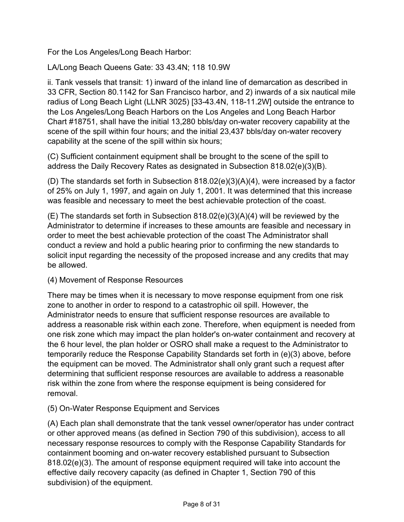For the Los Angeles/Long Beach Harbor:

LA/Long Beach Queens Gate: 33 43.4N; 118 10.9W

ii. Tank vessels that transit: 1) inward of the inland line of demarcation as described in 33 CFR, Section 80.1142 for San Francisco harbor, and 2) inwards of a six nautical mile radius of Long Beach Light (LLNR 3025) [33-43.4N, 118-11.2W] outside the entrance to the Los Angeles/Long Beach Harbors on the Los Angeles and Long Beach Harbor Chart #18751, shall have the initial 13,280 bbls/day on-water recovery capability at the scene of the spill within four hours; and the initial 23,437 bbls/day on-water recovery capability at the scene of the spill within six hours;

(C) Sufficient containment equipment shall be brought to the scene of the spill to address the Daily Recovery Rates as designated in Subsection 818.02(e)(3)(B).

(D) The standards set forth in Subsection 818.02(e)(3)(A)(4), were increased by a factor of 25% on July 1, 1997, and again on July 1, 2001. It was determined that this increase was feasible and necessary to meet the best achievable protection of the coast.

(E) The standards set forth in Subsection 818.02(e)(3)(A)(4) will be reviewed by the Administrator to determine if increases to these amounts are feasible and necessary in order to meet the best achievable protection of the coast The Administrator shall conduct a review and hold a public hearing prior to confirming the new standards to solicit input regarding the necessity of the proposed increase and any credits that may be allowed.

# (4) Movement of Response Resources

There may be times when it is necessary to move response equipment from one risk zone to another in order to respond to a catastrophic oil spill. However, the Administrator needs to ensure that sufficient response resources are available to address a reasonable risk within each zone. Therefore, when equipment is needed from one risk zone which may impact the plan holder's on-water containment and recovery at the 6 hour level, the plan holder or OSRO shall make a request to the Administrator to temporarily reduce the Response Capability Standards set forth in (e)(3) above, before the equipment can be moved. The Administrator shall only grant such a request after determining that sufficient response resources are available to address a reasonable risk within the zone from where the response equipment is being considered for removal.

### (5) On-Water Response Equipment and Services

(A) Each plan shall demonstrate that the tank vessel owner/operator has under contract or other approved means (as defined in Section 790 of this subdivision), access to all necessary response resources to comply with the Response Capability Standards for containment booming and on-water recovery established pursuant to Subsection 818.02(e)(3). The amount of response equipment required will take into account the effective daily recovery capacity (as defined in Chapter 1, Section 790 of this subdivision) of the equipment.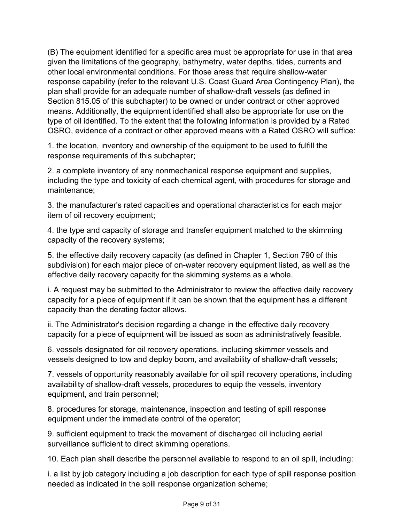(B) The equipment identified for a specific area must be appropriate for use in that area given the limitations of the geography, bathymetry, water depths, tides, currents and other local environmental conditions. For those areas that require shallow-water response capability (refer to the relevant U.S. Coast Guard Area Contingency Plan), the plan shall provide for an adequate number of shallow-draft vessels (as defined in Section 815.05 of this subchapter) to be owned or under contract or other approved means. Additionally, the equipment identified shall also be appropriate for use on the type of oil identified. To the extent that the following information is provided by a Rated OSRO, evidence of a contract or other approved means with a Rated OSRO will suffice:

1. the location, inventory and ownership of the equipment to be used to fulfill the response requirements of this subchapter;

2. a complete inventory of any nonmechanical response equipment and supplies, including the type and toxicity of each chemical agent, with procedures for storage and maintenance;

3. the manufacturer's rated capacities and operational characteristics for each major item of oil recovery equipment;

4. the type and capacity of storage and transfer equipment matched to the skimming capacity of the recovery systems;

5. the effective daily recovery capacity (as defined in Chapter 1, Section 790 of this subdivision) for each major piece of on-water recovery equipment listed, as well as the effective daily recovery capacity for the skimming systems as a whole.

i. A request may be submitted to the Administrator to review the effective daily recovery capacity for a piece of equipment if it can be shown that the equipment has a different capacity than the derating factor allows.

ii. The Administrator's decision regarding a change in the effective daily recovery capacity for a piece of equipment will be issued as soon as administratively feasible.

6. vessels designated for oil recovery operations, including skimmer vessels and vessels designed to tow and deploy boom, and availability of shallow-draft vessels;

7. vessels of opportunity reasonably available for oil spill recovery operations, including availability of shallow-draft vessels, procedures to equip the vessels, inventory equipment, and train personnel;

8. procedures for storage, maintenance, inspection and testing of spill response equipment under the immediate control of the operator;

9. sufficient equipment to track the movement of discharged oil including aerial surveillance sufficient to direct skimming operations.

10. Each plan shall describe the personnel available to respond to an oil spill, including:

i. a list by job category including a job description for each type of spill response position needed as indicated in the spill response organization scheme;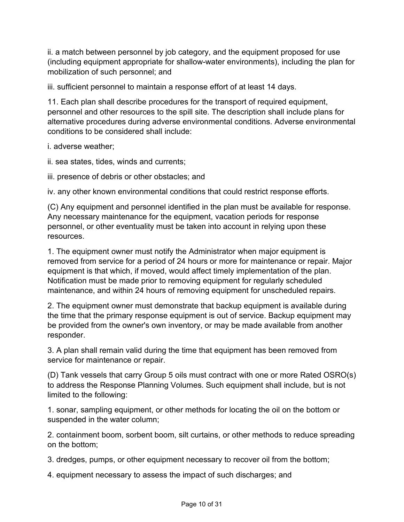ii. a match between personnel by job category, and the equipment proposed for use (including equipment appropriate for shallow-water environments), including the plan for mobilization of such personnel; and

iii. sufficient personnel to maintain a response effort of at least 14 days.

11. Each plan shall describe procedures for the transport of required equipment, personnel and other resources to the spill site. The description shall include plans for alternative procedures during adverse environmental conditions. Adverse environmental conditions to be considered shall include:

i. adverse weather;

ii. sea states, tides, winds and currents;

iii. presence of debris or other obstacles; and

iv. any other known environmental conditions that could restrict response efforts.

(C) Any equipment and personnel identified in the plan must be available for response. Any necessary maintenance for the equipment, vacation periods for response personnel, or other eventuality must be taken into account in relying upon these resources.

1. The equipment owner must notify the Administrator when major equipment is removed from service for a period of 24 hours or more for maintenance or repair. Major equipment is that which, if moved, would affect timely implementation of the plan. Notification must be made prior to removing equipment for regularly scheduled maintenance, and within 24 hours of removing equipment for unscheduled repairs.

2. The equipment owner must demonstrate that backup equipment is available during the time that the primary response equipment is out of service. Backup equipment may be provided from the owner's own inventory, or may be made available from another responder.

3. A plan shall remain valid during the time that equipment has been removed from service for maintenance or repair.

(D) Tank vessels that carry Group 5 oils must contract with one or more Rated OSRO(s) to address the Response Planning Volumes. Such equipment shall include, but is not limited to the following:

1. sonar, sampling equipment, or other methods for locating the oil on the bottom or suspended in the water column;

2. containment boom, sorbent boom, silt curtains, or other methods to reduce spreading on the bottom;

3. dredges, pumps, or other equipment necessary to recover oil from the bottom;

4. equipment necessary to assess the impact of such discharges; and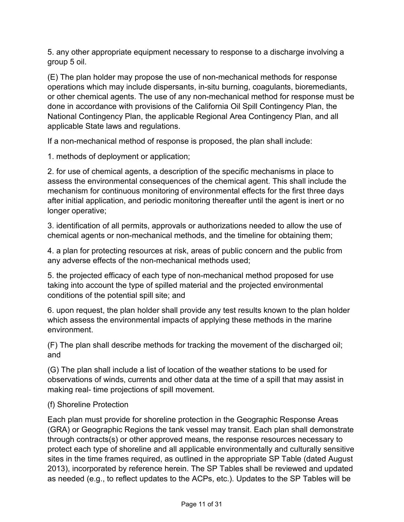5. any other appropriate equipment necessary to response to a discharge involving a group 5 oil.

(E) The plan holder may propose the use of non-mechanical methods for response operations which may include dispersants, in-situ burning, coagulants, bioremediants, or other chemical agents. The use of any non-mechanical method for response must be done in accordance with provisions of the California Oil Spill Contingency Plan, the National Contingency Plan, the applicable Regional Area Contingency Plan, and all applicable State laws and regulations.

If a non-mechanical method of response is proposed, the plan shall include:

1. methods of deployment or application;

2. for use of chemical agents, a description of the specific mechanisms in place to assess the environmental consequences of the chemical agent. This shall include the mechanism for continuous monitoring of environmental effects for the first three days after initial application, and periodic monitoring thereafter until the agent is inert or no longer operative;

3. identification of all permits, approvals or authorizations needed to allow the use of chemical agents or non-mechanical methods, and the timeline for obtaining them;

4. a plan for protecting resources at risk, areas of public concern and the public from any adverse effects of the non-mechanical methods used;

5. the projected efficacy of each type of non-mechanical method proposed for use taking into account the type of spilled material and the projected environmental conditions of the potential spill site; and

6. upon request, the plan holder shall provide any test results known to the plan holder which assess the environmental impacts of applying these methods in the marine environment.

(F) The plan shall describe methods for tracking the movement of the discharged oil; and

(G) The plan shall include a list of location of the weather stations to be used for observations of winds, currents and other data at the time of a spill that may assist in making real- time projections of spill movement.

### (f) Shoreline Protection

Each plan must provide for shoreline protection in the Geographic Response Areas (GRA) or Geographic Regions the tank vessel may transit. Each plan shall demonstrate through contracts(s) or other approved means, the response resources necessary to protect each type of shoreline and all applicable environmentally and culturally sensitive sites in the time frames required, as outlined in the appropriate SP Table (dated August 2013), incorporated by reference herein. The SP Tables shall be reviewed and updated as needed (e.g., to reflect updates to the ACPs, etc.). Updates to the SP Tables will be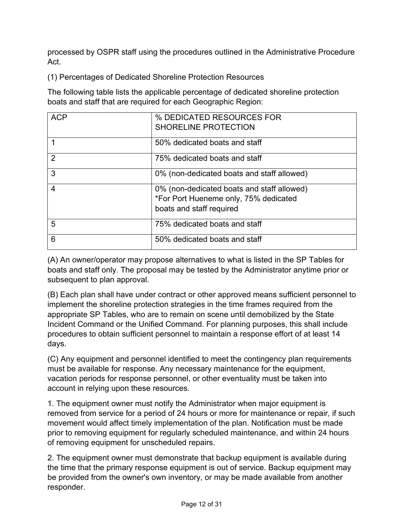processed by OSPR staff using the procedures outlined in the Administrative Procedure Act.

(1) Percentages of Dedicated Shoreline Protection Resources

The following table lists the applicable percentage of dedicated shoreline protection boats and staff that are required for each Geographic Region:

| <b>ACP</b>     | % DEDICATED RESOURCES FOR<br><b>SHORELINE PROTECTION</b>                                                        |
|----------------|-----------------------------------------------------------------------------------------------------------------|
|                | 50% dedicated boats and staff                                                                                   |
| $\overline{2}$ | 75% dedicated boats and staff                                                                                   |
| 3              | 0% (non-dedicated boats and staff allowed)                                                                      |
| 4              | 0% (non-dedicated boats and staff allowed)<br>*For Port Hueneme only, 75% dedicated<br>boats and staff required |
| 5              | 75% dedicated boats and staff                                                                                   |
| 6              | 50% dedicated boats and staff                                                                                   |

(A) An owner/operator may propose alternatives to what is listed in the SP Tables for boats and staff only. The proposal may be tested by the Administrator anytime prior or subsequent to plan approval.

(B) Each plan shall have under contract or other approved means sufficient personnel to implement the shoreline protection strategies in the time frames required from the appropriate SP Tables, who are to remain on scene until demobilized by the State Incident Command or the Unified Command. For planning purposes, this shall include procedures to obtain sufficient personnel to maintain a response effort of at least 14 days.

(C) Any equipment and personnel identified to meet the contingency plan requirements must be available for response. Any necessary maintenance for the equipment, vacation periods for response personnel, or other eventuality must be taken into account in relying upon these resources.

1. The equipment owner must notify the Administrator when major equipment is removed from service for a period of 24 hours or more for maintenance or repair, if such movement would affect timely implementation of the plan. Notification must be made prior to removing equipment for regularly scheduled maintenance, and within 24 hours of removing equipment for unscheduled repairs.

2. The equipment owner must demonstrate that backup equipment is available during the time that the primary response equipment is out of service. Backup equipment may be provided from the owner's own inventory, or may be made available from another responder.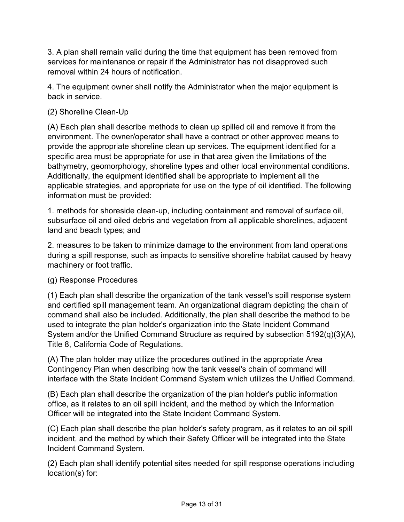3. A plan shall remain valid during the time that equipment has been removed from services for maintenance or repair if the Administrator has not disapproved such removal within 24 hours of notification.

4. The equipment owner shall notify the Administrator when the major equipment is back in service.

## (2) Shoreline Clean-Up

(A) Each plan shall describe methods to clean up spilled oil and remove it from the environment. The owner/operator shall have a contract or other approved means to provide the appropriate shoreline clean up services. The equipment identified for a specific area must be appropriate for use in that area given the limitations of the bathymetry, geomorphology, shoreline types and other local environmental conditions. Additionally, the equipment identified shall be appropriate to implement all the applicable strategies, and appropriate for use on the type of oil identified. The following information must be provided:

1. methods for shoreside clean-up, including containment and removal of surface oil, subsurface oil and oiled debris and vegetation from all applicable shorelines, adjacent land and beach types; and

2. measures to be taken to minimize damage to the environment from land operations during a spill response, such as impacts to sensitive shoreline habitat caused by heavy machinery or foot traffic.

### (g) Response Procedures

(1) Each plan shall describe the organization of the tank vessel's spill response system and certified spill management team. An organizational diagram depicting the chain of command shall also be included. Additionally, the plan shall describe the method to be used to integrate the plan holder's organization into the State Incident Command System and/or the Unified Command Structure as required by subsection 5192(q)(3)(A), Title 8, California Code of Regulations.

(A) The plan holder may utilize the procedures outlined in the appropriate Area Contingency Plan when describing how the tank vessel's chain of command will interface with the State Incident Command System which utilizes the Unified Command.

(B) Each plan shall describe the organization of the plan holder's public information office, as it relates to an oil spill incident, and the method by which the Information Officer will be integrated into the State Incident Command System.

(C) Each plan shall describe the plan holder's safety program, as it relates to an oil spill incident, and the method by which their Safety Officer will be integrated into the State Incident Command System.

(2) Each plan shall identify potential sites needed for spill response operations including location(s) for: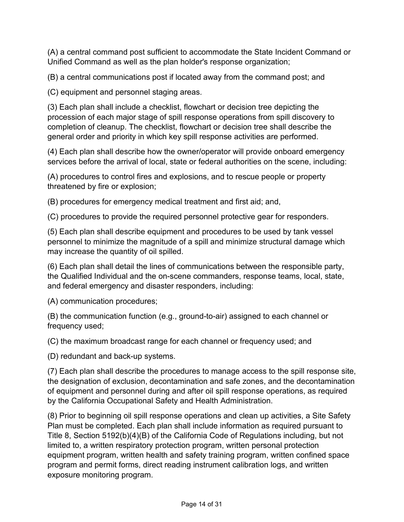(A) a central command post sufficient to accommodate the State Incident Command or Unified Command as well as the plan holder's response organization;

(B) a central communications post if located away from the command post; and

(C) equipment and personnel staging areas.

(3) Each plan shall include a checklist, flowchart or decision tree depicting the procession of each major stage of spill response operations from spill discovery to completion of cleanup. The checklist, flowchart or decision tree shall describe the general order and priority in which key spill response activities are performed.

(4) Each plan shall describe how the owner/operator will provide onboard emergency services before the arrival of local, state or federal authorities on the scene, including:

(A) procedures to control fires and explosions, and to rescue people or property threatened by fire or explosion;

(B) procedures for emergency medical treatment and first aid; and,

(C) procedures to provide the required personnel protective gear for responders.

(5) Each plan shall describe equipment and procedures to be used by tank vessel personnel to minimize the magnitude of a spill and minimize structural damage which may increase the quantity of oil spilled.

(6) Each plan shall detail the lines of communications between the responsible party, the Qualified Individual and the on-scene commanders, response teams, local, state, and federal emergency and disaster responders, including:

(A) communication procedures;

(B) the communication function (e.g., ground-to-air) assigned to each channel or frequency used;

(C) the maximum broadcast range for each channel or frequency used; and

(D) redundant and back-up systems.

(7) Each plan shall describe the procedures to manage access to the spill response site, the designation of exclusion, decontamination and safe zones, and the decontamination of equipment and personnel during and after oil spill response operations, as required by the California Occupational Safety and Health Administration.

(8) Prior to beginning oil spill response operations and clean up activities, a Site Safety Plan must be completed. Each plan shall include information as required pursuant to Title 8, Section 5192(b)(4)(B) of the California Code of Regulations including, but not limited to, a written respiratory protection program, written personal protection equipment program, written health and safety training program, written confined space program and permit forms, direct reading instrument calibration logs, and written exposure monitoring program.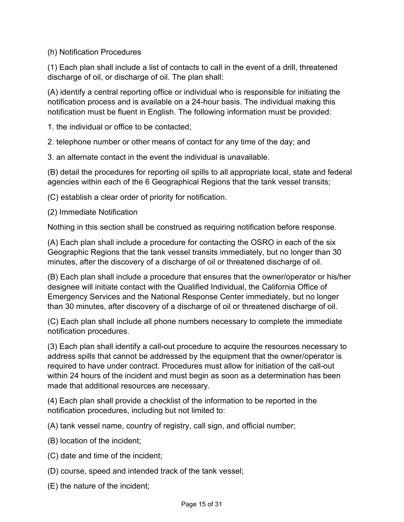(h) Notification Procedures

(1) Each plan shall include a list of contacts to call in the event of a drill, threatened discharge of oil, or discharge of oil. The plan shall:

(A) identify a central reporting office or individual who is responsible for initiating the notification process and is available on a 24-hour basis. The individual making this notification must be fluent in English. The following information must be provided:

1. the individual or office to be contacted;

2. telephone number or other means of contact for any time of the day; and

3. an alternate contact in the event the individual is unavailable.

(B) detail the procedures for reporting oil spills to all appropriate local, state and federal agencies within each of the 6 Geographical Regions that the tank vessel transits;

(C) establish a clear order of priority for notification.

(2) Immediate Notification

Nothing in this section shall be construed as requiring notification before response.

(A) Each plan shall include a procedure for contacting the OSRO in each of the six Geographic Regions that the tank vessel transits immediately, but no longer than 30 minutes, after the discovery of a discharge of oil or threatened discharge of oil.

(B) Each plan shall include a procedure that ensures that the owner/operator or his/her designee will initiate contact with the Qualified Individual, the California Office of Emergency Services and the National Response Center immediately, but no longer than 30 minutes, after discovery of a discharge of oil or threatened discharge of oil.

(C) Each plan shall include all phone numbers necessary to complete the immediate notification procedures.

(3) Each plan shall identify a call-out procedure to acquire the resources necessary to address spills that cannot be addressed by the equipment that the owner/operator is required to have under contract. Procedures must allow for initiation of the call-out within 24 hours of the incident and must begin as soon as a determination has been made that additional resources are necessary.

(4) Each plan shall provide a checklist of the information to be reported in the notification procedures, including but not limited to:

(A) tank vessel name, country of registry, call sign, and official number;

- (B) location of the incident;
- (C) date and time of the incident;
- (D) course, speed and intended track of the tank vessel;
- (E) the nature of the incident;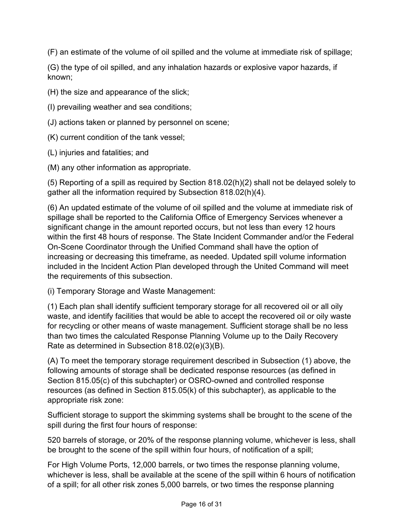(F) an estimate of the volume of oil spilled and the volume at immediate risk of spillage;

(G) the type of oil spilled, and any inhalation hazards or explosive vapor hazards, if known;

(H) the size and appearance of the slick;

- (I) prevailing weather and sea conditions;
- (J) actions taken or planned by personnel on scene;
- (K) current condition of the tank vessel;
- (L) injuries and fatalities; and
- (M) any other information as appropriate.

(5) Reporting of a spill as required by Section 818.02(h)(2) shall not be delayed solely to gather all the information required by Subsection 818.02(h)(4).

(6) An updated estimate of the volume of oil spilled and the volume at immediate risk of spillage shall be reported to the California Office of Emergency Services whenever a significant change in the amount reported occurs, but not less than every 12 hours within the first 48 hours of response. The State Incident Commander and/or the Federal On-Scene Coordinator through the Unified Command shall have the option of increasing or decreasing this timeframe, as needed. Updated spill volume information included in the Incident Action Plan developed through the United Command will meet the requirements of this subsection.

(i) Temporary Storage and Waste Management:

(1) Each plan shall identify sufficient temporary storage for all recovered oil or all oily waste, and identify facilities that would be able to accept the recovered oil or oily waste for recycling or other means of waste management. Sufficient storage shall be no less than two times the calculated Response Planning Volume up to the Daily Recovery Rate as determined in Subsection 818.02(e)(3)(B).

(A) To meet the temporary storage requirement described in Subsection (1) above, the following amounts of storage shall be dedicated response resources (as defined in Section 815.05(c) of this subchapter) or OSRO-owned and controlled response resources (as defined in Section 815.05(k) of this subchapter), as applicable to the appropriate risk zone:

Sufficient storage to support the skimming systems shall be brought to the scene of the spill during the first four hours of response:

520 barrels of storage, or 20% of the response planning volume, whichever is less, shall be brought to the scene of the spill within four hours, of notification of a spill;

For High Volume Ports, 12,000 barrels, or two times the response planning volume, whichever is less, shall be available at the scene of the spill within 6 hours of notification of a spill; for all other risk zones 5,000 barrels, or two times the response planning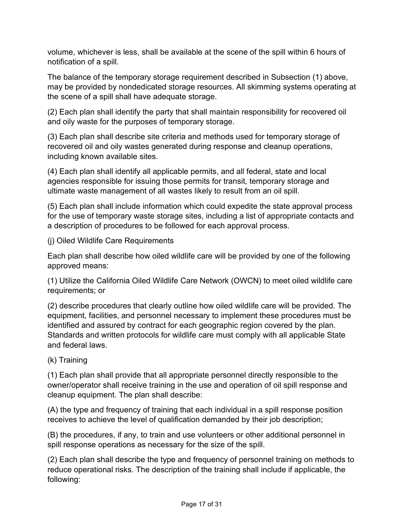volume, whichever is less, shall be available at the scene of the spill within 6 hours of notification of a spill.

The balance of the temporary storage requirement described in Subsection (1) above, may be provided by nondedicated storage resources. All skimming systems operating at the scene of a spill shall have adequate storage.

(2) Each plan shall identify the party that shall maintain responsibility for recovered oil and oily waste for the purposes of temporary storage.

(3) Each plan shall describe site criteria and methods used for temporary storage of recovered oil and oily wastes generated during response and cleanup operations, including known available sites.

(4) Each plan shall identify all applicable permits, and all federal, state and local agencies responsible for issuing those permits for transit, temporary storage and ultimate waste management of all wastes likely to result from an oil spill.

(5) Each plan shall include information which could expedite the state approval process for the use of temporary waste storage sites, including a list of appropriate contacts and a description of procedures to be followed for each approval process.

(j) Oiled Wildlife Care Requirements

Each plan shall describe how oiled wildlife care will be provided by one of the following approved means:

(1) Utilize the California Oiled Wildlife Care Network (OWCN) to meet oiled wildlife care requirements; or

(2) describe procedures that clearly outline how oiled wildlife care will be provided. The equipment, facilities, and personnel necessary to implement these procedures must be identified and assured by contract for each geographic region covered by the plan. Standards and written protocols for wildlife care must comply with all applicable State and federal laws.

(k) Training

(1) Each plan shall provide that all appropriate personnel directly responsible to the owner/operator shall receive training in the use and operation of oil spill response and cleanup equipment. The plan shall describe:

(A) the type and frequency of training that each individual in a spill response position receives to achieve the level of qualification demanded by their job description;

(B) the procedures, if any, to train and use volunteers or other additional personnel in spill response operations as necessary for the size of the spill.

(2) Each plan shall describe the type and frequency of personnel training on methods to reduce operational risks. The description of the training shall include if applicable, the following: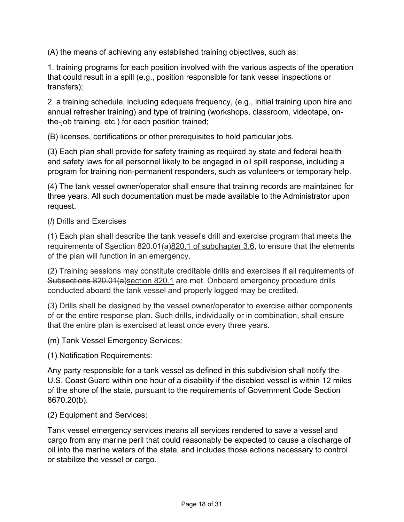(A) the means of achieving any established training objectives, such as:

1. training programs for each position involved with the various aspects of the operation that could result in a spill (e.g., position responsible for tank vessel inspections or transfers);

2. a training schedule, including adequate frequency, (e.g., initial training upon hire and annual refresher training) and type of training (workshops, classroom, videotape, onthe-job training, etc.) for each position trained;

(B) licenses, certifications or other prerequisites to hold particular jobs.

(3) Each plan shall provide for safety training as required by state and federal health and safety laws for all personnel likely to be engaged in oil spill response, including a program for training non-permanent responders, such as volunteers or temporary help.

(4) The tank vessel owner/operator shall ensure that training records are maintained for three years. All such documentation must be made available to the Administrator upon request.

(*l*) Drills and Exercises

(1) Each plan shall describe the tank vessel's drill and exercise program that meets the requirements of Ssection  $820.01(a)820.1$  of subchapter 3.6, to ensure that the elements of the plan will function in an emergency.

(2) Training sessions may constitute creditable drills and exercises if all requirements of Subsections 820.01(a)section 820.1 are met. Onboard emergency procedure drills conducted aboard the tank vessel and properly logged may be credited.

(3) Drills shall be designed by the vessel owner/operator to exercise either components of or the entire response plan. Such drills, individually or in combination, shall ensure that the entire plan is exercised at least once every three years.

(m) Tank Vessel Emergency Services:

(1) Notification Requirements:

Any party responsible for a tank vessel as defined in this subdivision shall notify the U.S. Coast Guard within one hour of a disability if the disabled vessel is within 12 miles of the shore of the state, pursuant to the requirements of Government Code Section 8670.20(b).

(2) Equipment and Services:

Tank vessel emergency services means all services rendered to save a vessel and cargo from any marine peril that could reasonably be expected to cause a discharge of oil into the marine waters of the state, and includes those actions necessary to control or stabilize the vessel or cargo.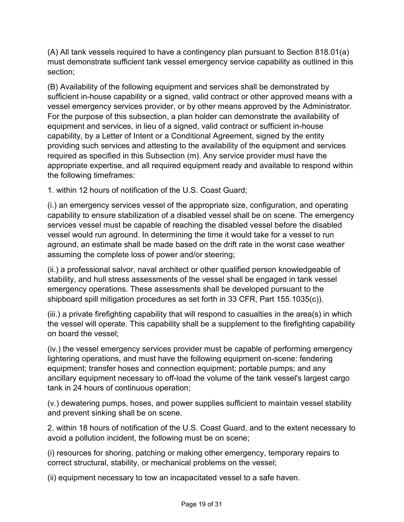(A) All tank vessels required to have a contingency plan pursuant to Section 818.01(a) must demonstrate sufficient tank vessel emergency service capability as outlined in this section;

(B) Availability of the following equipment and services shall be demonstrated by sufficient in-house capability or a signed, valid contract or other approved means with a vessel emergency services provider, or by other means approved by the Administrator. For the purpose of this subsection, a plan holder can demonstrate the availability of equipment and services, in lieu of a signed, valid contract or sufficient in-house capability, by a Letter of Intent or a Conditional Agreement, signed by the entity providing such services and attesting to the availability of the equipment and services required as specified in this Subsection (m). Any service provider must have the appropriate expertise, and all required equipment ready and available to respond within the following timeframes:

1. within 12 hours of notification of the U.S. Coast Guard;

(i.) an emergency services vessel of the appropriate size, configuration, and operating capability to ensure stabilization of a disabled vessel shall be on scene. The emergency services vessel must be capable of reaching the disabled vessel before the disabled vessel would run aground. In determining the time it would take for a vessel to run aground, an estimate shall be made based on the drift rate in the worst case weather assuming the complete loss of power and/or steering;

(ii.) a professional salvor, naval architect or other qualified person knowledgeable of stability, and hull stress assessments of the vessel shall be engaged in tank vessel emergency operations. These assessments shall be developed pursuant to the shipboard spill mitigation procedures as set forth in 33 CFR, Part 155.1035(c)).

(iii.) a private firefighting capability that will respond to casualties in the area(s) in which the vessel will operate. This capability shall be a supplement to the firefighting capability on board the vessel;

(iv.) the vessel emergency services provider must be capable of performing emergency lightering operations, and must have the following equipment on-scene: fendering equipment; transfer hoses and connection equipment; portable pumps; and any ancillary equipment necessary to off-load the volume of the tank vessel's largest cargo tank in 24 hours of continuous operation;

(v.) dewatering pumps, hoses, and power supplies sufficient to maintain vessel stability and prevent sinking shall be on scene.

2. within 18 hours of notification of the U.S. Coast Guard, and to the extent necessary to avoid a pollution incident, the following must be on scene;

(i) resources for shoring, patching or making other emergency, temporary repairs to correct structural, stability, or mechanical problems on the vessel;

(ii) equipment necessary to tow an incapacitated vessel to a safe haven.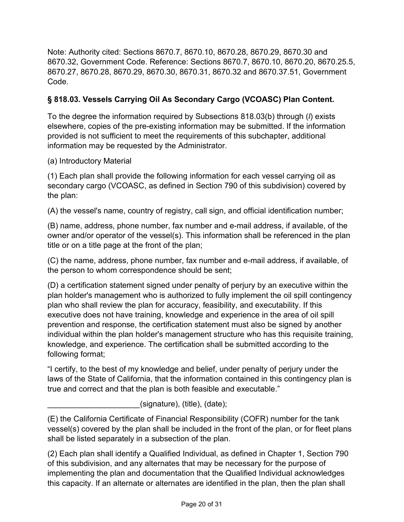Note: Authority cited: Sections 8670.7, 8670.10, 8670.28, 8670.29, 8670.30 and 8670.32, Government Code. Reference: Sections 8670.7, 8670.10, 8670.20, 8670.25.5, 8670.27, 8670.28, 8670.29, 8670.30, 8670.31, 8670.32 and 8670.37.51, Government Code.

# **§ 818.03. Vessels Carrying Oil As Secondary Cargo (VCOASC) Plan Content.**

To the degree the information required by Subsections 818.03(b) through (*l*) exists elsewhere, copies of the pre-existing information may be submitted. If the information provided is not sufficient to meet the requirements of this subchapter, additional information may be requested by the Administrator.

(a) Introductory Material

(1) Each plan shall provide the following information for each vessel carrying oil as secondary cargo (VCOASC, as defined in Section 790 of this subdivision) covered by the plan:

(A) the vessel's name, country of registry, call sign, and official identification number;

(B) name, address, phone number, fax number and e-mail address, if available, of the owner and/or operator of the vessel(s). This information shall be referenced in the plan title or on a title page at the front of the plan;

(C) the name, address, phone number, fax number and e-mail address, if available, of the person to whom correspondence should be sent;

(D) a certification statement signed under penalty of perjury by an executive within the plan holder's management who is authorized to fully implement the oil spill contingency plan who shall review the plan for accuracy, feasibility, and executability. If this executive does not have training, knowledge and experience in the area of oil spill prevention and response, the certification statement must also be signed by another individual within the plan holder's management structure who has this requisite training, knowledge, and experience. The certification shall be submitted according to the following format;

"I certify, to the best of my knowledge and belief, under penalty of perjury under the laws of the State of California, that the information contained in this contingency plan is true and correct and that the plan is both feasible and executable."

\_\_\_\_\_\_\_\_\_\_\_\_\_\_\_\_\_\_\_\_\_(signature), (title), (date);

(E) the California Certificate of Financial Responsibility (COFR) number for the tank vessel(s) covered by the plan shall be included in the front of the plan, or for fleet plans shall be listed separately in a subsection of the plan.

(2) Each plan shall identify a Qualified Individual, as defined in Chapter 1, Section 790 of this subdivision, and any alternates that may be necessary for the purpose of implementing the plan and documentation that the Qualified Individual acknowledges this capacity. If an alternate or alternates are identified in the plan, then the plan shall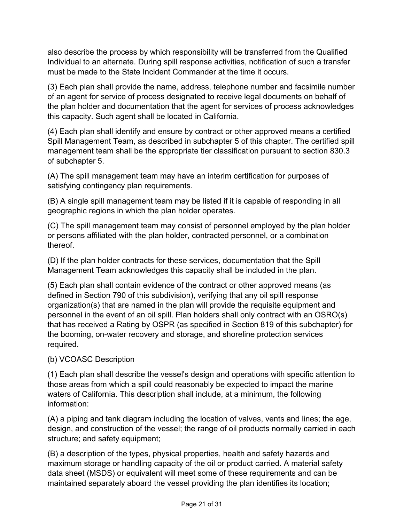also describe the process by which responsibility will be transferred from the Qualified Individual to an alternate. During spill response activities, notification of such a transfer must be made to the State Incident Commander at the time it occurs.

(3) Each plan shall provide the name, address, telephone number and facsimile number of an agent for service of process designated to receive legal documents on behalf of the plan holder and documentation that the agent for services of process acknowledges this capacity. Such agent shall be located in California.

(4) Each plan shall identify and ensure by contract or other approved means a certified Spill Management Team, as described in subchapter 5 of this chapter. The certified spill management team shall be the appropriate tier classification pursuant to section 830.3 of subchapter 5.

(A) The spill management team may have an interim certification for purposes of satisfying contingency plan requirements.

(B) A single spill management team may be listed if it is capable of responding in all geographic regions in which the plan holder operates.

(C) The spill management team may consist of personnel employed by the plan holder or persons affiliated with the plan holder, contracted personnel, or a combination thereof.

(D) If the plan holder contracts for these services, documentation that the Spill Management Team acknowledges this capacity shall be included in the plan.

(5) Each plan shall contain evidence of the contract or other approved means (as defined in Section 790 of this subdivision), verifying that any oil spill response organization(s) that are named in the plan will provide the requisite equipment and personnel in the event of an oil spill. Plan holders shall only contract with an OSRO(s) that has received a Rating by OSPR (as specified in Section 819 of this subchapter) for the booming, on-water recovery and storage, and shoreline protection services required.

### (b) VCOASC Description

(1) Each plan shall describe the vessel's design and operations with specific attention to those areas from which a spill could reasonably be expected to impact the marine waters of California. This description shall include, at a minimum, the following information:

(A) a piping and tank diagram including the location of valves, vents and lines; the age, design, and construction of the vessel; the range of oil products normally carried in each structure; and safety equipment;

(B) a description of the types, physical properties, health and safety hazards and maximum storage or handling capacity of the oil or product carried. A material safety data sheet (MSDS) or equivalent will meet some of these requirements and can be maintained separately aboard the vessel providing the plan identifies its location;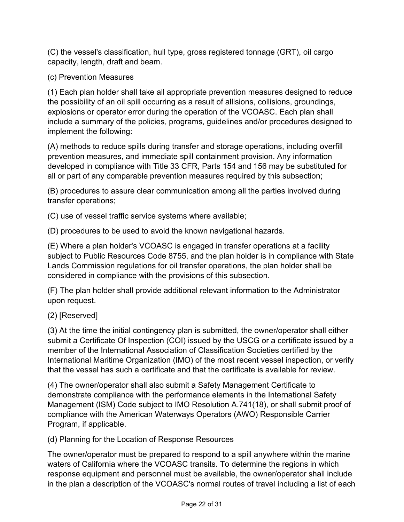(C) the vessel's classification, hull type, gross registered tonnage (GRT), oil cargo capacity, length, draft and beam.

(c) Prevention Measures

(1) Each plan holder shall take all appropriate prevention measures designed to reduce the possibility of an oil spill occurring as a result of allisions, collisions, groundings, explosions or operator error during the operation of the VCOASC. Each plan shall include a summary of the policies, programs, guidelines and/or procedures designed to implement the following:

(A) methods to reduce spills during transfer and storage operations, including overfill prevention measures, and immediate spill containment provision. Any information developed in compliance with Title 33 CFR, Parts 154 and 156 may be substituted for all or part of any comparable prevention measures required by this subsection;

(B) procedures to assure clear communication among all the parties involved during transfer operations;

(C) use of vessel traffic service systems where available;

(D) procedures to be used to avoid the known navigational hazards.

(E) Where a plan holder's VCOASC is engaged in transfer operations at a facility subject to Public Resources Code 8755, and the plan holder is in compliance with State Lands Commission regulations for oil transfer operations, the plan holder shall be considered in compliance with the provisions of this subsection.

(F) The plan holder shall provide additional relevant information to the Administrator upon request.

(2) [Reserved]

(3) At the time the initial contingency plan is submitted, the owner/operator shall either submit a Certificate Of Inspection (COI) issued by the USCG or a certificate issued by a member of the International Association of Classification Societies certified by the International Maritime Organization (IMO) of the most recent vessel inspection, or verify that the vessel has such a certificate and that the certificate is available for review.

(4) The owner/operator shall also submit a Safety Management Certificate to demonstrate compliance with the performance elements in the International Safety Management (ISM) Code subject to IMO Resolution A.741(18), or shall submit proof of compliance with the American Waterways Operators (AWO) Responsible Carrier Program, if applicable.

(d) Planning for the Location of Response Resources

The owner/operator must be prepared to respond to a spill anywhere within the marine waters of California where the VCOASC transits. To determine the regions in which response equipment and personnel must be available, the owner/operator shall include in the plan a description of the VCOASC's normal routes of travel including a list of each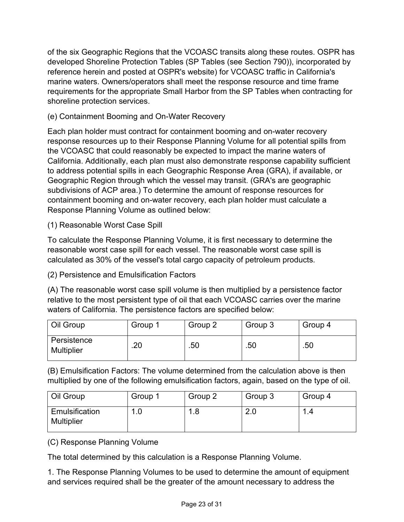of the six Geographic Regions that the VCOASC transits along these routes. OSPR has developed Shoreline Protection Tables (SP Tables (see Section 790)), incorporated by reference herein and posted at OSPR's website) for VCOASC traffic in California's marine waters. Owners/operators shall meet the response resource and time frame requirements for the appropriate Small Harbor from the SP Tables when contracting for shoreline protection services.

## (e) Containment Booming and On-Water Recovery

Each plan holder must contract for containment booming and on-water recovery response resources up to their Response Planning Volume for all potential spills from the VCOASC that could reasonably be expected to impact the marine waters of California. Additionally, each plan must also demonstrate response capability sufficient to address potential spills in each Geographic Response Area (GRA), if available, or Geographic Region through which the vessel may transit. (GRA's are geographic subdivisions of ACP area.) To determine the amount of response resources for containment booming and on-water recovery, each plan holder must calculate a Response Planning Volume as outlined below:

(1) Reasonable Worst Case Spill

To calculate the Response Planning Volume, it is first necessary to determine the reasonable worst case spill for each vessel. The reasonable worst case spill is calculated as 30% of the vessel's total cargo capacity of petroleum products.

(2) Persistence and Emulsification Factors

(A) The reasonable worst case spill volume is then multiplied by a persistence factor relative to the most persistent type of oil that each VCOASC carries over the marine waters of California. The persistence factors are specified below:

| Oil Group                        | Group 1 | Group 2 | Group 3 | Group 4 |
|----------------------------------|---------|---------|---------|---------|
| Persistence<br><b>Multiplier</b> | .20     | .50     | .50     | .50     |

(B) Emulsification Factors: The volume determined from the calculation above is then multiplied by one of the following emulsification factors, again, based on the type of oil.

| Oil Group                           | Group 1 | Group 2 | Group 3     | Group 4 |
|-------------------------------------|---------|---------|-------------|---------|
| Emulsification<br><b>Multiplier</b> | л       | ◢       | ິດ C<br>Z.U | л       |

(C) Response Planning Volume

The total determined by this calculation is a Response Planning Volume.

1. The Response Planning Volumes to be used to determine the amount of equipment and services required shall be the greater of the amount necessary to address the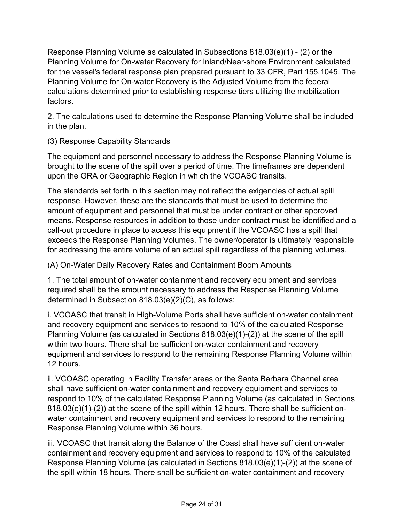Response Planning Volume as calculated in Subsections 818.03(e)(1) - (2) or the Planning Volume for On-water Recovery for Inland/Near-shore Environment calculated for the vessel's federal response plan prepared pursuant to 33 CFR, Part 155.1045. The Planning Volume for On-water Recovery is the Adjusted Volume from the federal calculations determined prior to establishing response tiers utilizing the mobilization factors.

2. The calculations used to determine the Response Planning Volume shall be included in the plan.

(3) Response Capability Standards

The equipment and personnel necessary to address the Response Planning Volume is brought to the scene of the spill over a period of time. The timeframes are dependent upon the GRA or Geographic Region in which the VCOASC transits.

The standards set forth in this section may not reflect the exigencies of actual spill response. However, these are the standards that must be used to determine the amount of equipment and personnel that must be under contract or other approved means. Response resources in addition to those under contract must be identified and a call-out procedure in place to access this equipment if the VCOASC has a spill that exceeds the Response Planning Volumes. The owner/operator is ultimately responsible for addressing the entire volume of an actual spill regardless of the planning volumes.

(A) On-Water Daily Recovery Rates and Containment Boom Amounts

1. The total amount of on-water containment and recovery equipment and services required shall be the amount necessary to address the Response Planning Volume determined in Subsection 818.03(e)(2)(C), as follows:

i. VCOASC that transit in High-Volume Ports shall have sufficient on-water containment and recovery equipment and services to respond to 10% of the calculated Response Planning Volume (as calculated in Sections 818.03(e)(1)-(2)) at the scene of the spill within two hours. There shall be sufficient on-water containment and recovery equipment and services to respond to the remaining Response Planning Volume within 12 hours.

ii. VCOASC operating in Facility Transfer areas or the Santa Barbara Channel area shall have sufficient on-water containment and recovery equipment and services to respond to 10% of the calculated Response Planning Volume (as calculated in Sections 818.03(e)(1)-(2)) at the scene of the spill within 12 hours. There shall be sufficient onwater containment and recovery equipment and services to respond to the remaining Response Planning Volume within 36 hours.

iii. VCOASC that transit along the Balance of the Coast shall have sufficient on-water containment and recovery equipment and services to respond to 10% of the calculated Response Planning Volume (as calculated in Sections 818.03(e)(1)-(2)) at the scene of the spill within 18 hours. There shall be sufficient on-water containment and recovery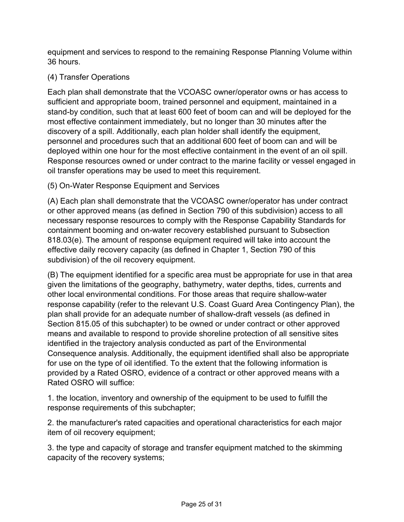equipment and services to respond to the remaining Response Planning Volume within 36 hours.

# (4) Transfer Operations

Each plan shall demonstrate that the VCOASC owner/operator owns or has access to sufficient and appropriate boom, trained personnel and equipment, maintained in a stand-by condition, such that at least 600 feet of boom can and will be deployed for the most effective containment immediately, but no longer than 30 minutes after the discovery of a spill. Additionally, each plan holder shall identify the equipment, personnel and procedures such that an additional 600 feet of boom can and will be deployed within one hour for the most effective containment in the event of an oil spill. Response resources owned or under contract to the marine facility or vessel engaged in oil transfer operations may be used to meet this requirement.

(5) On-Water Response Equipment and Services

(A) Each plan shall demonstrate that the VCOASC owner/operator has under contract or other approved means (as defined in Section 790 of this subdivision) access to all necessary response resources to comply with the Response Capability Standards for containment booming and on-water recovery established pursuant to Subsection 818.03(e). The amount of response equipment required will take into account the effective daily recovery capacity (as defined in Chapter 1, Section 790 of this subdivision) of the oil recovery equipment.

(B) The equipment identified for a specific area must be appropriate for use in that area given the limitations of the geography, bathymetry, water depths, tides, currents and other local environmental conditions. For those areas that require shallow-water response capability (refer to the relevant U.S. Coast Guard Area Contingency Plan), the plan shall provide for an adequate number of shallow-draft vessels (as defined in Section 815.05 of this subchapter) to be owned or under contract or other approved means and available to respond to provide shoreline protection of all sensitive sites identified in the trajectory analysis conducted as part of the Environmental Consequence analysis. Additionally, the equipment identified shall also be appropriate for use on the type of oil identified. To the extent that the following information is provided by a Rated OSRO, evidence of a contract or other approved means with a Rated OSRO will suffice:

1. the location, inventory and ownership of the equipment to be used to fulfill the response requirements of this subchapter;

2. the manufacturer's rated capacities and operational characteristics for each major item of oil recovery equipment;

3. the type and capacity of storage and transfer equipment matched to the skimming capacity of the recovery systems;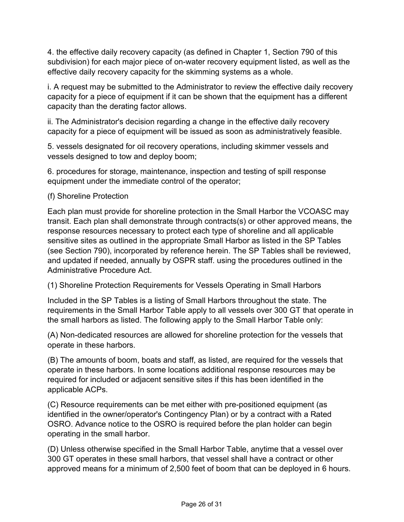4. the effective daily recovery capacity (as defined in Chapter 1, Section 790 of this subdivision) for each major piece of on-water recovery equipment listed, as well as the effective daily recovery capacity for the skimming systems as a whole.

i. A request may be submitted to the Administrator to review the effective daily recovery capacity for a piece of equipment if it can be shown that the equipment has a different capacity than the derating factor allows.

ii. The Administrator's decision regarding a change in the effective daily recovery capacity for a piece of equipment will be issued as soon as administratively feasible.

5. vessels designated for oil recovery operations, including skimmer vessels and vessels designed to tow and deploy boom;

6. procedures for storage, maintenance, inspection and testing of spill response equipment under the immediate control of the operator;

#### (f) Shoreline Protection

Each plan must provide for shoreline protection in the Small Harbor the VCOASC may transit. Each plan shall demonstrate through contracts(s) or other approved means, the response resources necessary to protect each type of shoreline and all applicable sensitive sites as outlined in the appropriate Small Harbor as listed in the SP Tables (see Section 790), incorporated by reference herein. The SP Tables shall be reviewed, and updated if needed, annually by OSPR staff. using the procedures outlined in the Administrative Procedure Act.

(1) Shoreline Protection Requirements for Vessels Operating in Small Harbors

Included in the SP Tables is a listing of Small Harbors throughout the state. The requirements in the Small Harbor Table apply to all vessels over 300 GT that operate in the small harbors as listed. The following apply to the Small Harbor Table only:

(A) Non-dedicated resources are allowed for shoreline protection for the vessels that operate in these harbors.

(B) The amounts of boom, boats and staff, as listed, are required for the vessels that operate in these harbors. In some locations additional response resources may be required for included or adjacent sensitive sites if this has been identified in the applicable ACPs.

(C) Resource requirements can be met either with pre-positioned equipment (as identified in the owner/operator's Contingency Plan) or by a contract with a Rated OSRO. Advance notice to the OSRO is required before the plan holder can begin operating in the small harbor.

(D) Unless otherwise specified in the Small Harbor Table, anytime that a vessel over 300 GT operates in these small harbors, that vessel shall have a contract or other approved means for a minimum of 2,500 feet of boom that can be deployed in 6 hours.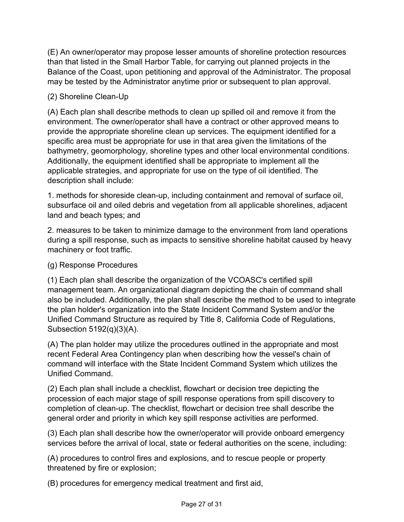(E) An owner/operator may propose lesser amounts of shoreline protection resources than that listed in the Small Harbor Table, for carrying out planned projects in the Balance of the Coast, upon petitioning and approval of the Administrator. The proposal may be tested by the Administrator anytime prior or subsequent to plan approval.

# (2) Shoreline Clean-Up

(A) Each plan shall describe methods to clean up spilled oil and remove it from the environment. The owner/operator shall have a contract or other approved means to provide the appropriate shoreline clean up services. The equipment identified for a specific area must be appropriate for use in that area given the limitations of the bathymetry, geomorphology, shoreline types and other local environmental conditions. Additionally, the equipment identified shall be appropriate to implement all the applicable strategies, and appropriate for use on the type of oil identified. The description shall include:

1. methods for shoreside clean-up, including containment and removal of surface oil, subsurface oil and oiled debris and vegetation from all applicable shorelines, adjacent land and beach types; and

2. measures to be taken to minimize damage to the environment from land operations during a spill response, such as impacts to sensitive shoreline habitat caused by heavy machinery or foot traffic.

### (g) Response Procedures

(1) Each plan shall describe the organization of the VCOASC's certified spill management team. An organizational diagram depicting the chain of command shall also be included. Additionally, the plan shall describe the method to be used to integrate the plan holder's organization into the State Incident Command System and/or the Unified Command Structure as required by Title 8, California Code of Regulations, Subsection 5192(q)(3)(A).

(A) The plan holder may utilize the procedures outlined in the appropriate and most recent Federal Area Contingency plan when describing how the vessel's chain of command will interface with the State Incident Command System which utilizes the Unified Command.

(2) Each plan shall include a checklist, flowchart or decision tree depicting the procession of each major stage of spill response operations from spill discovery to completion of clean-up. The checklist, flowchart or decision tree shall describe the general order and priority in which key spill response activities are performed.

(3) Each plan shall describe how the owner/operator will provide onboard emergency services before the arrival of local, state or federal authorities on the scene, including:

(A) procedures to control fires and explosions, and to rescue people or property threatened by fire or explosion;

(B) procedures for emergency medical treatment and first aid,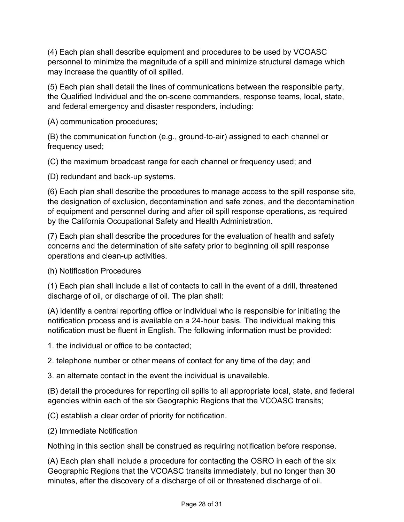(4) Each plan shall describe equipment and procedures to be used by VCOASC personnel to minimize the magnitude of a spill and minimize structural damage which may increase the quantity of oil spilled.

(5) Each plan shall detail the lines of communications between the responsible party, the Qualified Individual and the on-scene commanders, response teams, local, state, and federal emergency and disaster responders, including:

(A) communication procedures;

(B) the communication function (e.g., ground-to-air) assigned to each channel or frequency used;

(C) the maximum broadcast range for each channel or frequency used; and

(D) redundant and back-up systems.

(6) Each plan shall describe the procedures to manage access to the spill response site, the designation of exclusion, decontamination and safe zones, and the decontamination of equipment and personnel during and after oil spill response operations, as required by the California Occupational Safety and Health Administration.

(7) Each plan shall describe the procedures for the evaluation of health and safety concerns and the determination of site safety prior to beginning oil spill response operations and clean-up activities.

(h) Notification Procedures

(1) Each plan shall include a list of contacts to call in the event of a drill, threatened discharge of oil, or discharge of oil. The plan shall:

(A) identify a central reporting office or individual who is responsible for initiating the notification process and is available on a 24-hour basis. The individual making this notification must be fluent in English. The following information must be provided:

1. the individual or office to be contacted;

2. telephone number or other means of contact for any time of the day; and

3. an alternate contact in the event the individual is unavailable.

(B) detail the procedures for reporting oil spills to all appropriate local, state, and federal agencies within each of the six Geographic Regions that the VCOASC transits;

(C) establish a clear order of priority for notification.

(2) Immediate Notification

Nothing in this section shall be construed as requiring notification before response.

(A) Each plan shall include a procedure for contacting the OSRO in each of the six Geographic Regions that the VCOASC transits immediately, but no longer than 30 minutes, after the discovery of a discharge of oil or threatened discharge of oil.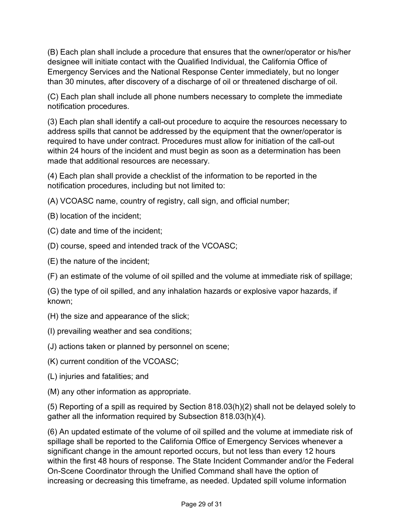(B) Each plan shall include a procedure that ensures that the owner/operator or his/her designee will initiate contact with the Qualified Individual, the California Office of Emergency Services and the National Response Center immediately, but no longer than 30 minutes, after discovery of a discharge of oil or threatened discharge of oil.

(C) Each plan shall include all phone numbers necessary to complete the immediate notification procedures.

(3) Each plan shall identify a call-out procedure to acquire the resources necessary to address spills that cannot be addressed by the equipment that the owner/operator is required to have under contract. Procedures must allow for initiation of the call-out within 24 hours of the incident and must begin as soon as a determination has been made that additional resources are necessary.

(4) Each plan shall provide a checklist of the information to be reported in the notification procedures, including but not limited to:

- (A) VCOASC name, country of registry, call sign, and official number;
- (B) location of the incident;
- (C) date and time of the incident;
- (D) course, speed and intended track of the VCOASC;
- (E) the nature of the incident;

(F) an estimate of the volume of oil spilled and the volume at immediate risk of spillage;

(G) the type of oil spilled, and any inhalation hazards or explosive vapor hazards, if known;

- (H) the size and appearance of the slick;
- (I) prevailing weather and sea conditions;
- (J) actions taken or planned by personnel on scene;
- (K) current condition of the VCOASC;
- (L) injuries and fatalities; and
- (M) any other information as appropriate.

(5) Reporting of a spill as required by Section 818.03(h)(2) shall not be delayed solely to gather all the information required by Subsection 818.03(h)(4).

(6) An updated estimate of the volume of oil spilled and the volume at immediate risk of spillage shall be reported to the California Office of Emergency Services whenever a significant change in the amount reported occurs, but not less than every 12 hours within the first 48 hours of response. The State Incident Commander and/or the Federal On-Scene Coordinator through the Unified Command shall have the option of increasing or decreasing this timeframe, as needed. Updated spill volume information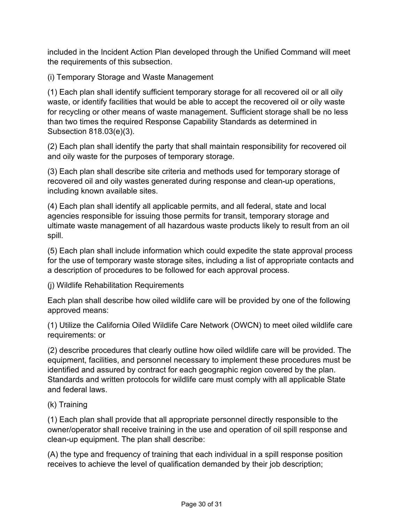included in the Incident Action Plan developed through the Unified Command will meet the requirements of this subsection.

(i) Temporary Storage and Waste Management

(1) Each plan shall identify sufficient temporary storage for all recovered oil or all oily waste, or identify facilities that would be able to accept the recovered oil or oily waste for recycling or other means of waste management. Sufficient storage shall be no less than two times the required Response Capability Standards as determined in Subsection 818.03(e)(3).

(2) Each plan shall identify the party that shall maintain responsibility for recovered oil and oily waste for the purposes of temporary storage.

(3) Each plan shall describe site criteria and methods used for temporary storage of recovered oil and oily wastes generated during response and clean-up operations, including known available sites.

(4) Each plan shall identify all applicable permits, and all federal, state and local agencies responsible for issuing those permits for transit, temporary storage and ultimate waste management of all hazardous waste products likely to result from an oil spill.

(5) Each plan shall include information which could expedite the state approval process for the use of temporary waste storage sites, including a list of appropriate contacts and a description of procedures to be followed for each approval process.

(j) Wildlife Rehabilitation Requirements

Each plan shall describe how oiled wildlife care will be provided by one of the following approved means:

(1) Utilize the California Oiled Wildlife Care Network (OWCN) to meet oiled wildlife care requirements: or

(2) describe procedures that clearly outline how oiled wildlife care will be provided. The equipment, facilities, and personnel necessary to implement these procedures must be identified and assured by contract for each geographic region covered by the plan. Standards and written protocols for wildlife care must comply with all applicable State and federal laws.

### (k) Training

(1) Each plan shall provide that all appropriate personnel directly responsible to the owner/operator shall receive training in the use and operation of oil spill response and clean-up equipment. The plan shall describe:

(A) the type and frequency of training that each individual in a spill response position receives to achieve the level of qualification demanded by their job description;